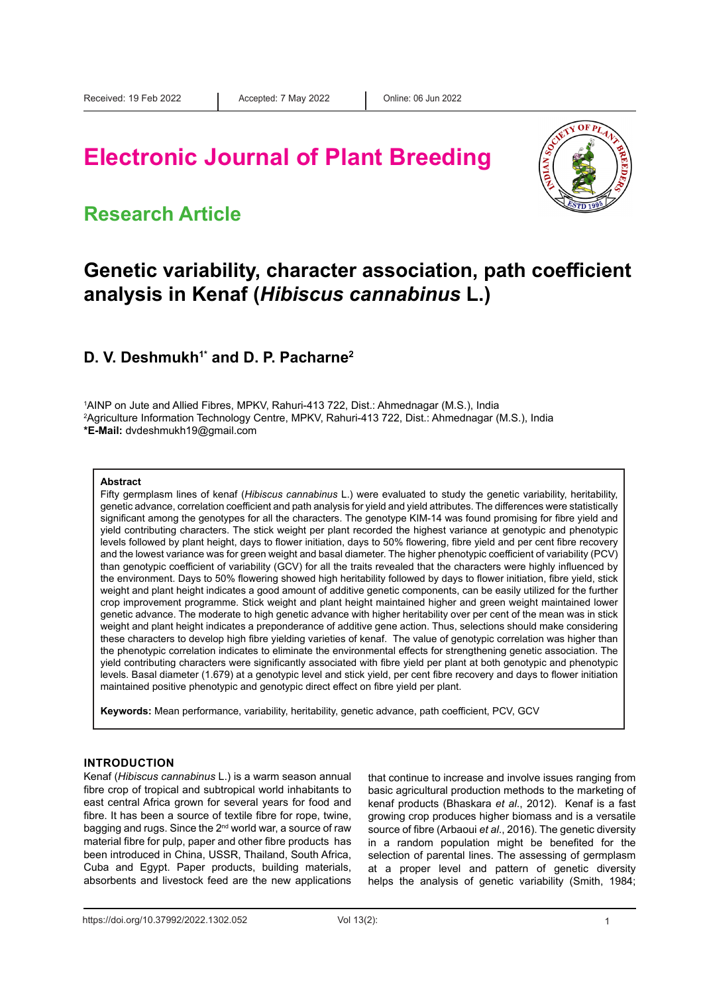# **Electronic Journal of Plant Breeding**

### **Research Article**



## **Genetic variability, character association, path coefficient analysis in Kenaf (***Hibiscus cannabinus* **L.)**

### **D. V. Deshmukh<sup>1\*</sup> and D. P. Pacharne<sup>2</sup>**

1 AINP on Jute and Allied Fibres, MPKV, Rahuri-413 722, Dist.: Ahmednagar (M.S.), India 2 Agriculture Information Technology Centre, MPKV, Rahuri-413 722, Dist.: Ahmednagar (M.S.), India **\*E-Mail:** dvdeshmukh19@gmail.com

#### **Abstract**

Fifty germplasm lines of kenaf (*Hibiscus cannabinus* L.) were evaluated to study the genetic variability, heritability, genetic advance, correlation coefficient and path analysis for yield and yield attributes. The differences were statistically significant among the genotypes for all the characters. The genotype KIM-14 was found promising for fibre yield and yield contributing characters. The stick weight per plant recorded the highest variance at genotypic and phenotypic levels followed by plant height, days to flower initiation, days to 50% flowering, fibre yield and per cent fibre recovery and the lowest variance was for green weight and basal diameter. The higher phenotypic coefficient of variability (PCV) than genotypic coefficient of variability (GCV) for all the traits revealed that the characters were highly influenced by the environment. Days to 50% flowering showed high heritability followed by days to flower initiation, fibre yield, stick weight and plant height indicates a good amount of additive genetic components, can be easily utilized for the further crop improvement programme. Stick weight and plant height maintained higher and green weight maintained lower genetic advance. The moderate to high genetic advance with higher heritability over per cent of the mean was in stick weight and plant height indicates a preponderance of additive gene action. Thus, selections should make considering these characters to develop high fibre yielding varieties of kenaf. The value of genotypic correlation was higher than the phenotypic correlation indicates to eliminate the environmental effects for strengthening genetic association. The yield contributing characters were significantly associated with fibre yield per plant at both genotypic and phenotypic levels. Basal diameter (1.679) at a genotypic level and stick yield, per cent fibre recovery and days to flower initiation maintained positive phenotypic and genotypic direct effect on fibre yield per plant.

**Keywords:** Mean performance, variability, heritability, genetic advance, path coefficient, PCV, GCV

#### **INTRODUCTION**

Kenaf (*Hibiscus cannabinus* L.) is a warm season annual fibre crop of tropical and subtropical world inhabitants to east central Africa grown for several years for food and fibre. It has been a source of textile fibre for rope, twine, bagging and rugs. Since the 2<sup>nd</sup> world war, a source of raw material fibre for pulp, paper and other fibre products has been introduced in China, USSR, Thailand, South Africa, Cuba and Egypt. Paper products, building materials, absorbents and livestock feed are the new applications

that continue to increase and involve issues ranging from basic agricultural production methods to the marketing of kenaf products (Bhaskara *et al*., 2012). Kenaf is a fast growing crop produces higher biomass and is a versatile source of fibre (Arbaoui *et al*., 2016). The genetic diversity in a random population might be benefited for the selection of parental lines. The assessing of germplasm at a proper level and pattern of genetic diversity helps the analysis of genetic variability (Smith, 1984;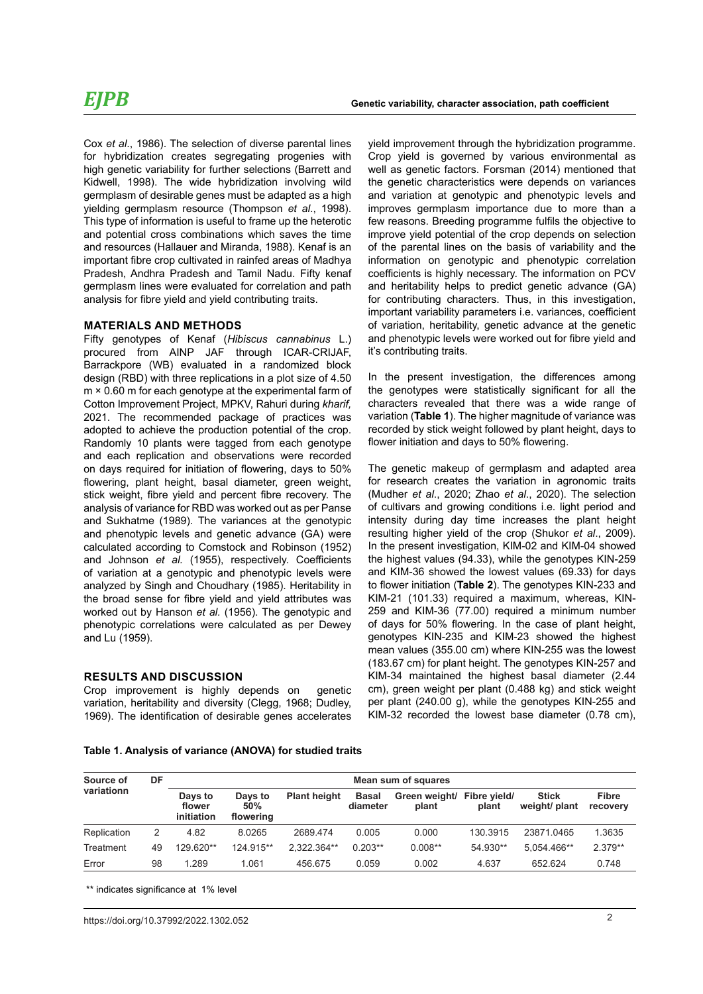### *EJPB*

Cox *et al*., 1986). The selection of diverse parental lines for hybridization creates segregating progenies with high genetic variability for further selections (Barrett and Kidwell, 1998). The wide hybridization involving wild germplasm of desirable genes must be adapted as a high yielding germplasm resource (Thompson *et al*., 1998). This type of information is useful to frame up the heterotic and potential cross combinations which saves the time and resources (Hallauer and Miranda, 1988). Kenaf is an important fibre crop cultivated in rainfed areas of Madhya Pradesh, Andhra Pradesh and Tamil Nadu. Fifty kenaf germplasm lines were evaluated for correlation and path analysis for fibre yield and yield contributing traits.

### **MATERIALS AND METHODS**

Fifty genotypes of Kenaf (*Hibiscus cannabinus* L.) procured from AINP JAF through ICAR-CRIJAF, Barrackpore (WB) evaluated in a randomized block design (RBD) with three replications in a plot size of 4.50 m × 0.60 m for each genotype at the experimental farm of Cotton Improvement Project, MPKV, Rahuri during *kharif,*  2021. The recommended package of practices was adopted to achieve the production potential of the crop. Randomly 10 plants were tagged from each genotype and each replication and observations were recorded on days required for initiation of flowering, days to 50% flowering, plant height, basal diameter, green weight, stick weight, fibre yield and percent fibre recovery. The analysis of variance for RBD was worked out as per Panse and Sukhatme (1989). The variances at the genotypic and phenotypic levels and genetic advance (GA) were calculated according to Comstock and Robinson (1952) and Johnson *et al.* (1955), respectively. Coefficients of variation at a genotypic and phenotypic levels were analyzed by Singh and Choudhary (1985). Heritability in the broad sense for fibre yield and yield attributes was worked out by Hanson *et al.* (1956). The genotypic and phenotypic correlations were calculated as per Dewey and Lu (1959).

### **RESULTS AND DISCUSSION**

Crop improvement is highly depends on genetic variation, heritability and diversity (Clegg, 1968; Dudley, 1969). The identification of desirable genes accelerates yield improvement through the hybridization programme. Crop yield is governed by various environmental as well as genetic factors. Forsman (2014) mentioned that the genetic characteristics were depends on variances and variation at genotypic and phenotypic levels and improves germplasm importance due to more than a few reasons. Breeding programme fulfils the objective to improve yield potential of the crop depends on selection of the parental lines on the basis of variability and the information on genotypic and phenotypic correlation coefficients is highly necessary. The information on PCV and heritability helps to predict genetic advance (GA) for contributing characters. Thus, in this investigation, important variability parameters i.e. variances, coefficient of variation, heritability, genetic advance at the genetic and phenotypic levels were worked out for fibre yield and it's contributing traits.

In the present investigation, the differences among the genotypes were statistically significant for all the characters revealed that there was a wide range of variation (**Table 1**). The higher magnitude of variance was recorded by stick weight followed by plant height, days to flower initiation and days to 50% flowering.

The genetic makeup of germplasm and adapted area for research creates the variation in agronomic traits (Mudher *et al*., 2020; Zhao *et al*., 2020). The selection of cultivars and growing conditions i.e. light period and intensity during day time increases the plant height resulting higher yield of the crop (Shukor *et al*., 2009). In the present investigation, KIM-02 and KIM-04 showed the highest values (94.33), while the genotypes KIN-259 and KIM-36 showed the lowest values (69.33) for days to flower initiation (**Table 2**). The genotypes KIN-233 and KIM-21 (101.33) required a maximum, whereas, KIN-259 and KIM-36 (77.00) required a minimum number of days for 50% flowering. In the case of plant height, genotypes KIN-235 and KIM-23 showed the highest mean values (355.00 cm) where KIN-255 was the lowest (183.67 cm) for plant height. The genotypes KIN-257 and KIM-34 maintained the highest basal diameter (2.44 cm), green weight per plant (0.488 kg) and stick weight per plant (240.00 g), while the genotypes KIN-255 and KIM-32 recorded the lowest base diameter (0.78 cm),

#### **Table 1. Analysis of variance (ANOVA) for studied traits**

| Source of   | DF | Mean sum of squares             |                             |                     |                          |                        |                       |                               |                          |  |  |
|-------------|----|---------------------------------|-----------------------------|---------------------|--------------------------|------------------------|-----------------------|-------------------------------|--------------------------|--|--|
| variationn  |    | Days to<br>flower<br>initiation | Days to<br>50%<br>flowering | <b>Plant height</b> | <b>Basal</b><br>diameter | Green weight/<br>plant | Fibre yield/<br>plant | <b>Stick</b><br>weight/ plant | <b>Fibre</b><br>recovery |  |  |
| Replication | 2  | 4.82                            | 8.0265                      | 2689.474            | 0.005                    | 0.000                  | 130.3915              | 23871.0465                    | 1.3635                   |  |  |
| Treatment   | 49 | 129.620**                       | 124.915**                   | 2.322.364**         | $0.203**$                | $0.008**$              | 54.930**              | 5.054.466**                   | $2.379**$                |  |  |
| Error       | 98 | 1.289                           | 1.061                       | 456.675             | 0.059                    | 0.002                  | 4.637                 | 652.624                       | 0.748                    |  |  |

\*\* indicates significance at 1% level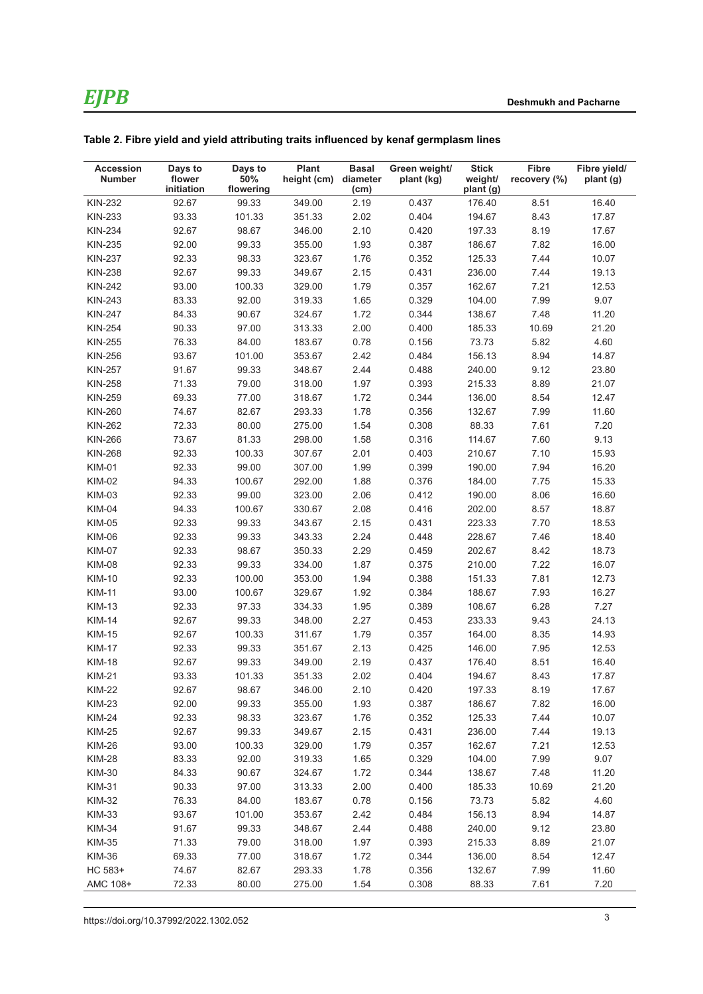| <b>Accession</b><br><b>Number</b> | Days to<br>flower<br>initiation | Days to<br>50%<br>flowering | <b>Plant</b><br>height (cm) diameter | <b>Basal</b><br>(cm) | Green weight/<br>plant (kg) | <b>Stick</b><br>weight/<br>plant (g) | <b>Fibre</b><br>recovery (%) | Fibre yield/<br>plant (g) |
|-----------------------------------|---------------------------------|-----------------------------|--------------------------------------|----------------------|-----------------------------|--------------------------------------|------------------------------|---------------------------|
| <b>KIN-232</b>                    | 92.67                           | 99.33                       | 349.00                               | 2.19                 | 0.437                       | 176.40                               | 8.51                         | 16.40                     |
| KIN-233                           | 93.33                           | 101.33                      | 351.33                               | 2.02                 | 0.404                       | 194.67                               | 8.43                         | 17.87                     |
| <b>KIN-234</b>                    | 92.67                           | 98.67                       | 346.00                               | 2.10                 | 0.420                       | 197.33                               | 8.19                         | 17.67                     |
| <b>KIN-235</b>                    | 92.00                           | 99.33                       | 355.00                               | 1.93                 | 0.387                       | 186.67                               | 7.82                         | 16.00                     |
| <b>KIN-237</b>                    | 92.33                           | 98.33                       | 323.67                               | 1.76                 | 0.352                       | 125.33                               | 7.44                         | 10.07                     |
| <b>KIN-238</b>                    | 92.67                           | 99.33                       | 349.67                               | 2.15                 | 0.431                       | 236.00                               | 7.44                         | 19.13                     |
| <b>KIN-242</b>                    | 93.00                           | 100.33                      | 329.00                               | 1.79                 | 0.357                       | 162.67                               | 7.21                         | 12.53                     |
| <b>KIN-243</b>                    | 83.33                           | 92.00                       | 319.33                               | 1.65                 | 0.329                       | 104.00                               | 7.99                         | 9.07                      |
| <b>KIN-247</b>                    | 84.33                           | 90.67                       | 324.67                               | 1.72                 | 0.344                       | 138.67                               | 7.48                         | 11.20                     |
| <b>KIN-254</b>                    | 90.33                           | 97.00                       | 313.33                               | 2.00                 | 0.400                       | 185.33                               | 10.69                        | 21.20                     |
| KIN-255                           | 76.33                           | 84.00                       | 183.67                               | 0.78                 | 0.156                       | 73.73                                | 5.82                         | 4.60                      |
| KIN-256                           | 93.67                           | 101.00                      | 353.67                               | 2.42                 | 0.484                       | 156.13                               | 8.94                         | 14.87                     |
| <b>KIN-257</b>                    | 91.67                           | 99.33                       | 348.67                               | 2.44                 | 0.488                       | 240.00                               | 9.12                         | 23.80                     |
| <b>KIN-258</b>                    | 71.33                           | 79.00                       | 318.00                               | 1.97                 | 0.393                       | 215.33                               | 8.89                         | 21.07                     |
| <b>KIN-259</b>                    | 69.33                           | 77.00                       | 318.67                               | 1.72                 | 0.344                       | 136.00                               | 8.54                         | 12.47                     |
| <b>KIN-260</b>                    | 74.67                           | 82.67                       | 293.33                               | 1.78                 | 0.356                       | 132.67                               | 7.99                         | 11.60                     |
| <b>KIN-262</b>                    | 72.33                           | 80.00                       | 275.00                               | 1.54                 | 0.308                       | 88.33                                | 7.61                         | 7.20                      |
| <b>KIN-266</b>                    | 73.67                           | 81.33                       | 298.00                               | 1.58                 | 0.316                       | 114.67                               | 7.60                         | 9.13                      |
| <b>KIN-268</b>                    | 92.33                           | 100.33                      | 307.67                               | 2.01                 | 0.403                       | 210.67                               | 7.10                         | 15.93                     |
| <b>KIM-01</b>                     | 92.33                           | 99.00                       | 307.00                               | 1.99                 | 0.399                       | 190.00                               | 7.94                         | 16.20                     |
| <b>KIM-02</b>                     | 94.33                           | 100.67                      | 292.00                               | 1.88                 | 0.376                       | 184.00                               | 7.75                         | 15.33                     |
| <b>KIM-03</b>                     | 92.33                           | 99.00                       | 323.00                               | 2.06                 | 0.412                       | 190.00                               | 8.06                         | 16.60                     |
| <b>KIM-04</b>                     | 94.33                           | 100.67                      | 330.67                               | 2.08                 | 0.416                       | 202.00                               | 8.57                         | 18.87                     |
| <b>KIM-05</b>                     | 92.33                           | 99.33                       | 343.67                               | 2.15                 | 0.431                       | 223.33                               | 7.70                         | 18.53                     |
| <b>KIM-06</b>                     | 92.33                           | 99.33                       | 343.33                               | 2.24                 | 0.448                       | 228.67                               | 7.46                         | 18.40                     |
| <b>KIM-07</b>                     | 92.33                           | 98.67                       | 350.33                               | 2.29                 | 0.459                       | 202.67                               | 8.42                         | 18.73                     |
| <b>KIM-08</b>                     | 92.33                           | 99.33                       | 334.00                               | 1.87                 | 0.375                       | 210.00                               | 7.22                         | 16.07                     |
| <b>KIM-10</b>                     | 92.33                           | 100.00                      | 353.00                               | 1.94                 | 0.388                       | 151.33                               | 7.81                         | 12.73                     |
| <b>KIM-11</b>                     | 93.00                           | 100.67                      | 329.67                               | 1.92                 | 0.384                       | 188.67                               | 7.93                         | 16.27                     |
| <b>KIM-13</b>                     | 92.33                           | 97.33                       | 334.33                               | 1.95                 | 0.389                       | 108.67                               | 6.28                         | 7.27                      |
| <b>KIM-14</b>                     | 92.67                           | 99.33                       | 348.00                               | 2.27                 | 0.453                       | 233.33                               | 9.43                         | 24.13                     |
| <b>KIM-15</b>                     | 92.67                           | 100.33                      | 311.67                               | 1.79                 | 0.357                       | 164.00                               | 8.35                         | 14.93                     |
| <b>KIM-17</b>                     | 92.33                           | 99.33                       | 351.67                               | 2.13                 | 0.425                       | 146.00                               | 7.95                         | 12.53                     |
| <b>KIM-18</b>                     | 92.67                           | 99.33                       | 349.00                               | 2.19                 | 0.437                       | 176.40                               | 8.51                         | 16.40                     |
| <b>KIM-21</b>                     | 93.33                           | 101.33                      | 351.33                               | 2.02                 | 0.404                       | 194.67                               | 8.43                         | 17.87                     |
| <b>KIM-22</b>                     | 92.67                           | 98.67                       | 346.00                               | 2.10                 | 0.420                       | 197.33                               | 8.19                         | 17.67                     |
| KIM-23                            | 92.00                           | 99.33                       | 355.00                               | 1.93                 | 0.387                       | 186.67                               | 7.82                         | 16.00                     |
| <b>KIM-24</b>                     | 92.33                           | 98.33                       | 323.67                               | 1.76                 | 0.352                       | 125.33                               | 7.44                         | 10.07                     |
| <b>KIM-25</b>                     | 92.67                           | 99.33                       | 349.67                               | 2.15                 | 0.431                       | 236.00                               | 7.44                         | 19.13                     |
| <b>KIM-26</b>                     | 93.00                           | 100.33                      | 329.00                               | 1.79                 | 0.357                       | 162.67                               | 7.21                         | 12.53                     |
| <b>KIM-28</b>                     | 83.33                           | 92.00                       | 319.33                               | 1.65                 | 0.329                       | 104.00                               | 7.99                         | 9.07                      |
| <b>KIM-30</b>                     | 84.33                           | 90.67                       | 324.67                               | 1.72                 | 0.344                       | 138.67                               | 7.48                         | 11.20                     |
| <b>KIM-31</b>                     | 90.33                           | 97.00                       | 313.33                               | 2.00                 | 0.400                       | 185.33                               | 10.69                        | 21.20                     |
| <b>KIM-32</b>                     | 76.33                           | 84.00                       | 183.67                               | 0.78                 | 0.156                       | 73.73                                | 5.82                         | 4.60                      |
| KIM-33                            | 93.67                           | 101.00                      | 353.67                               | 2.42                 | 0.484                       | 156.13                               | 8.94                         | 14.87                     |
| <b>KIM-34</b>                     | 91.67                           | 99.33                       | 348.67                               | 2.44                 | 0.488                       | 240.00                               | 9.12                         | 23.80                     |
| <b>KIM-35</b>                     | 71.33                           | 79.00                       | 318.00                               | 1.97                 | 0.393                       | 215.33                               | 8.89                         | 21.07                     |
| <b>KIM-36</b>                     | 69.33                           | 77.00                       | 318.67                               | 1.72                 | 0.344                       | 136.00                               | 8.54                         | 12.47                     |
| HC 583+                           | 74.67                           | 82.67                       | 293.33                               | 1.78                 | 0.356                       | 132.67                               | 7.99                         | 11.60                     |
| AMC 108+                          | 72.33                           | 80.00                       | 275.00                               | 1.54                 | 0.308                       | 88.33                                | 7.61                         | 7.20                      |

**Table 2. Fibre yield and yield attributing traits influenced by kenaf germplasm lines**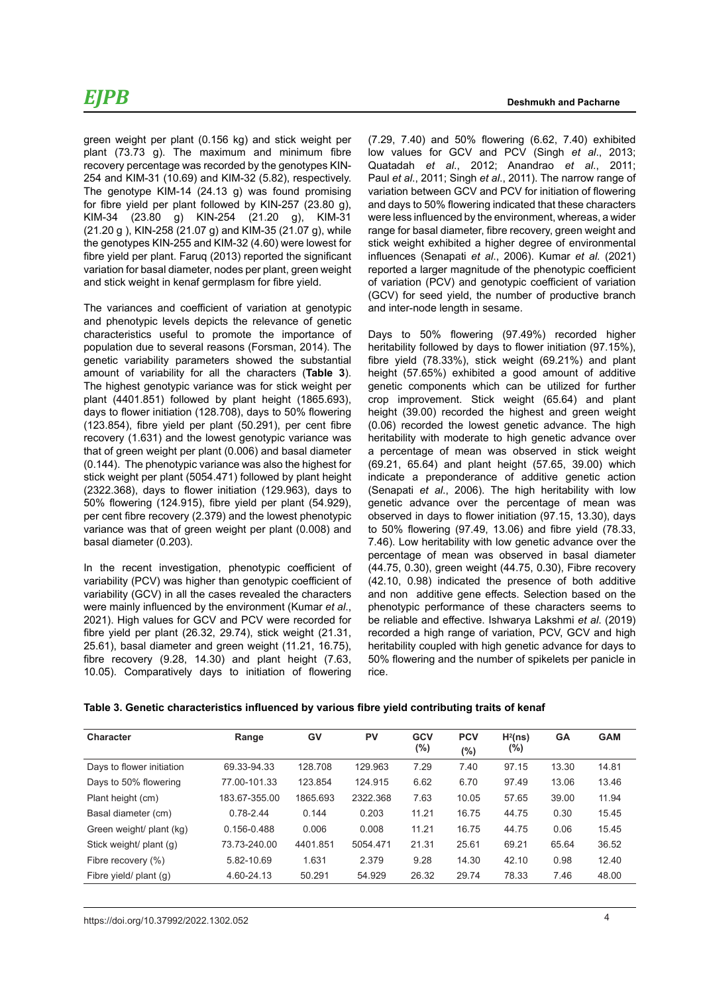green weight per plant (0.156 kg) and stick weight per plant (73.73 g). The maximum and minimum fibre recovery percentage was recorded by the genotypes KIN-254 and KIM-31 (10.69) and KIM-32 (5.82), respectively. The genotype KIM-14 (24.13 g) was found promising for fibre yield per plant followed by KIN-257 (23.80 g), KIM-34 (23.80 g) KIN-254 (21.20 g), KIM-31 (21.20 g ), KIN-258 (21.07 g) and KIM-35 (21.07 g), while the genotypes KIN-255 and KIM-32 (4.60) were lowest for fibre yield per plant. Faruq (2013) reported the significant variation for basal diameter, nodes per plant, green weight and stick weight in kenaf germplasm for fibre yield.

The variances and coefficient of variation at genotypic and phenotypic levels depicts the relevance of genetic characteristics useful to promote the importance of population due to several reasons (Forsman, 2014). The genetic variability parameters showed the substantial amount of variability for all the characters (**Table 3**). The highest genotypic variance was for stick weight per plant (4401.851) followed by plant height (1865.693), days to flower initiation (128.708), days to 50% flowering (123.854), fibre yield per plant (50.291), per cent fibre recovery (1.631) and the lowest genotypic variance was that of green weight per plant (0.006) and basal diameter (0.144). The phenotypic variance was also the highest for stick weight per plant (5054.471) followed by plant height (2322.368), days to flower initiation (129.963), days to 50% flowering (124.915), fibre yield per plant (54.929), per cent fibre recovery (2.379) and the lowest phenotypic variance was that of green weight per plant (0.008) and basal diameter (0.203).

In the recent investigation, phenotypic coefficient of variability (PCV) was higher than genotypic coefficient of variability (GCV) in all the cases revealed the characters were mainly influenced by the environment (Kumar *et al*., 2021). High values for GCV and PCV were recorded for fibre yield per plant (26.32, 29.74), stick weight (21.31, 25.61), basal diameter and green weight (11.21, 16.75), fibre recovery (9.28, 14.30) and plant height (7.63, 10.05). Comparatively days to initiation of flowering

(7.29, 7.40) and 50% flowering (6.62, 7.40) exhibited low values for GCV and PCV (Singh *et al*., 2013; Quatadah *et al*., 2012; Anandrao *et al*., 2011; Paul *et al*., 2011; Singh *et al*., 2011). The narrow range of variation between GCV and PCV for initiation of flowering and days to 50% flowering indicated that these characters were less influenced by the environment, whereas, a wider range for basal diameter, fibre recovery, green weight and stick weight exhibited a higher degree of environmental influences (Senapati *et al*., 2006). Kumar *et al.* (2021) reported a larger magnitude of the phenotypic coefficient of variation (PCV) and genotypic coefficient of variation (GCV) for seed yield, the number of productive branch and inter-node length in sesame.

Days to 50% flowering (97.49%) recorded higher heritability followed by days to flower initiation (97.15%), fibre yield (78.33%), stick weight (69.21%) and plant height (57.65%) exhibited a good amount of additive genetic components which can be utilized for further crop improvement. Stick weight (65.64) and plant height (39.00) recorded the highest and green weight (0.06) recorded the lowest genetic advance. The high heritability with moderate to high genetic advance over a percentage of mean was observed in stick weight (69.21, 65.64) and plant height (57.65, 39.00) which indicate a preponderance of additive genetic action (Senapati *et al*., 2006). The high heritability with low genetic advance over the percentage of mean was observed in days to flower initiation (97.15, 13.30), days to 50% flowering (97.49, 13.06) and fibre yield (78.33, 7.46). Low heritability with low genetic advance over the percentage of mean was observed in basal diameter (44.75, 0.30), green weight (44.75, 0.30), Fibre recovery (42.10, 0.98) indicated the presence of both additive and non additive gene effects. Selection based on the phenotypic performance of these characters seems to be reliable and effective. Ishwarya Lakshmi *et al*. (2019) recorded a high range of variation, PCV, GCV and high heritability coupled with high genetic advance for days to 50% flowering and the number of spikelets per panicle in rice.

| <b>Character</b>          | Range           | GV       | PV       | <b>GCV</b><br>(%) | <b>PCV</b><br>$(\%)$ | H <sup>2</sup> (ns)<br>(%) | <b>GA</b> | <b>GAM</b> |
|---------------------------|-----------------|----------|----------|-------------------|----------------------|----------------------------|-----------|------------|
| Days to flower initiation | 69.33-94.33     | 128.708  | 129.963  | 7.29              | 7.40                 | 97.15                      | 13.30     | 14.81      |
| Days to 50% flowering     | 77.00-101.33    | 123.854  | 124.915  | 6.62              | 6.70                 | 97.49                      | 13.06     | 13.46      |
| Plant height (cm)         | 183.67-355.00   | 1865.693 | 2322.368 | 7.63              | 10.05                | 57.65                      | 39.00     | 11.94      |
| Basal diameter (cm)       | $0.78 - 2.44$   | 0.144    | 0.203    | 11.21             | 16.75                | 44.75                      | 0.30      | 15.45      |
| Green weight/ plant (kg)  | $0.156 - 0.488$ | 0.006    | 0.008    | 11.21             | 16.75                | 44.75                      | 0.06      | 15.45      |
| Stick weight/ plant (g)   | 73.73-240.00    | 4401.851 | 5054.471 | 21.31             | 25.61                | 69.21                      | 65.64     | 36.52      |
| Fibre recovery (%)        | 5.82-10.69      | 1.631    | 2.379    | 9.28              | 14.30                | 42.10                      | 0.98      | 12.40      |
| Fibre yield/ plant (q)    | 4.60-24.13      | 50.291   | 54.929   | 26.32             | 29.74                | 78.33                      | 7.46      | 48.00      |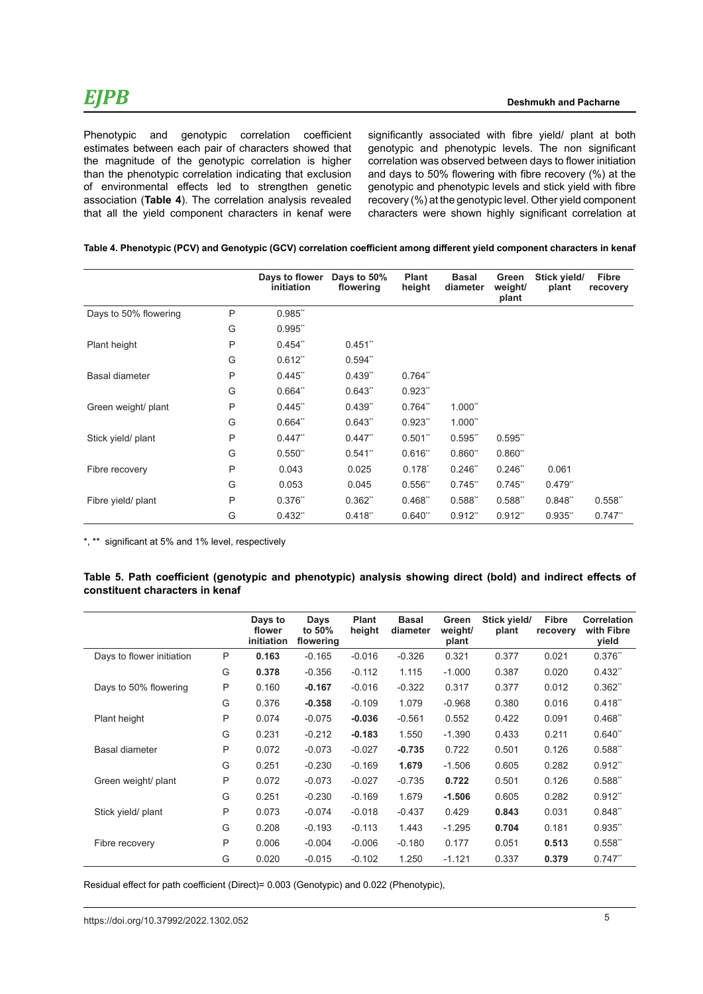Phenotypic and genotypic correlation coefficient estimates between each pair of characters showed that the magnitude of the genotypic correlation is higher than the phenotypic correlation indicating that exclusion of environmental effects led to strengthen genetic association (**Table 4**). The correlation analysis revealed that all the yield component characters in kenaf were

significantly associated with fibre yield/ plant at both genotypic and phenotypic levels. The non significant correlation was observed between days to flower initiation and days to 50% flowering with fibre recovery (%) at the genotypic and phenotypic levels and stick yield with fibre recovery (%) at the genotypic level. Other yield component characters were shown highly significant correlation at

| Table 4. Phenotypic (PCV) and Genotypic (GCV) correlation coefficient among different yield component characters in kenaf |  |  |
|---------------------------------------------------------------------------------------------------------------------------|--|--|
|---------------------------------------------------------------------------------------------------------------------------|--|--|

|                       |   | Days to flower<br><i>initiation</i> | Days to 50%<br>flowering | <b>Plant</b><br>height | <b>Basal</b><br>diameter | Green<br>weight/<br>plant | Stick yield/<br>plant | <b>Fibre</b><br>recovery |
|-----------------------|---|-------------------------------------|--------------------------|------------------------|--------------------------|---------------------------|-----------------------|--------------------------|
| Days to 50% flowering | P | 0.985"                              |                          |                        |                          |                           |                       |                          |
|                       | G | 0.995"                              |                          |                        |                          |                           |                       |                          |
| Plant height          | P | $0.454$ <sup>**</sup>               | $0.451$ "                |                        |                          |                           |                       |                          |
|                       | G | $0.612$ <sup>**</sup>               | $0.594$ "                |                        |                          |                           |                       |                          |
| Basal diameter        | P | 0.445"                              | 0.439"                   | 0.764"                 |                          |                           |                       |                          |
|                       | G | 0.664"                              | 0.643"                   | 0.923"                 |                          |                           |                       |                          |
| Green weight/ plant   | P | 0.445"                              | 0.439"                   | 0.764"                 | $1.000$ <sup>**</sup>    |                           |                       |                          |
|                       | G | 0.664"                              | 0.643"                   | 0.923"                 | $1.000$ <sup>**</sup>    |                           |                       |                          |
| Stick yield/ plant    | P | $0.447$ "                           | $0.447$ "                | 0.501"                 | $0.595$ "                | $0.595$ "                 |                       |                          |
|                       | G | 0.550"                              | $0.541$ "                | 0.616"                 | 0.860"                   | 0.860"                    |                       |                          |
| Fibre recovery        | P | 0.043                               | 0.025                    | $0.178^{*}$            | $0.246$ **               | $0.246$ "                 | 0.061                 |                          |
|                       | G | 0.053                               | 0.045                    | 0.556"                 | $0.745$ "                | $0.745$ "                 | 0.479"                |                          |
| Fibre yield/ plant    | P | $0.376$ **                          | $0.362$ **               | 0.468"                 | 0.588"                   | 0.588"                    | 0.848"                | 0.558"                   |
|                       | G | $0.432$ <sup>**</sup>               | 0.418"                   | 0.640"                 | $0.912$ **               | $0.912$ **                | 0.935"                | 0.747                    |

\*, \*\* significant at 5% and 1% level, respectively

### **Table 5. Path coefficient (genotypic and phenotypic) analysis showing direct (bold) and indirect effects of constituent characters in kenaf**

|                           |   | Days to<br>flower<br>initiation | Days<br>to 50%<br>flowering | <b>Plant</b><br>height | <b>Basal</b><br>diameter | Green<br>weight/<br>plant | Stick yield/<br>plant | <b>Fibre</b><br>recovery | <b>Correlation</b><br>with Fibre<br>yield |
|---------------------------|---|---------------------------------|-----------------------------|------------------------|--------------------------|---------------------------|-----------------------|--------------------------|-------------------------------------------|
| Days to flower initiation | P | 0.163                           | $-0.165$                    | $-0.016$               | $-0.326$                 | 0.321                     | 0.377                 | 0.021                    | 0.376"                                    |
|                           | G | 0.378                           | $-0.356$                    | $-0.112$               | 1.115                    | $-1.000$                  | 0.387                 | 0.020                    | 0.432"                                    |
| Days to 50% flowering     | P | 0.160                           | $-0.167$                    | $-0.016$               | $-0.322$                 | 0.317                     | 0.377                 | 0.012                    | 0.362"                                    |
|                           | G | 0.376                           | $-0.358$                    | $-0.109$               | 1.079                    | $-0.968$                  | 0.380                 | 0.016                    | 0.418"                                    |
| Plant height              | P | 0.074                           | $-0.075$                    | $-0.036$               | $-0.561$                 | 0.552                     | 0.422                 | 0.091                    | 0.468"                                    |
|                           | G | 0.231                           | $-0.212$                    | $-0.183$               | 1.550                    | $-1.390$                  | 0.433                 | 0.211                    | 0.640"                                    |
| Basal diameter            | P | 0.072                           | $-0.073$                    | $-0.027$               | $-0.735$                 | 0.722                     | 0.501                 | 0.126                    | 0.588"                                    |
|                           | G | 0.251                           | $-0.230$                    | $-0.169$               | 1.679                    | $-1.506$                  | 0.605                 | 0.282                    | 0.912"                                    |
| Green weight/ plant       | P | 0.072                           | $-0.073$                    | $-0.027$               | $-0.735$                 | 0.722                     | 0.501                 | 0.126                    | 0.588"                                    |
|                           | G | 0.251                           | $-0.230$                    | $-0.169$               | 1.679                    | $-1.506$                  | 0.605                 | 0.282                    | 0.912"                                    |
| Stick yield/ plant        | P | 0.073                           | $-0.074$                    | $-0.018$               | $-0.437$                 | 0.429                     | 0.843                 | 0.031                    | 0.848"                                    |
|                           | G | 0.208                           | $-0.193$                    | $-0.113$               | 1.443                    | $-1.295$                  | 0.704                 | 0.181                    | 0.935"                                    |
| Fibre recovery            | P | 0.006                           | $-0.004$                    | $-0.006$               | $-0.180$                 | 0.177                     | 0.051                 | 0.513                    | 0.558"                                    |
|                           | G | 0.020                           | $-0.015$                    | $-0.102$               | 1.250                    | $-1.121$                  | 0.337                 | 0.379                    | 0.747"                                    |

Residual effect for path coefficient (Direct)= 0.003 (Genotypic) and 0.022 (Phenotypic),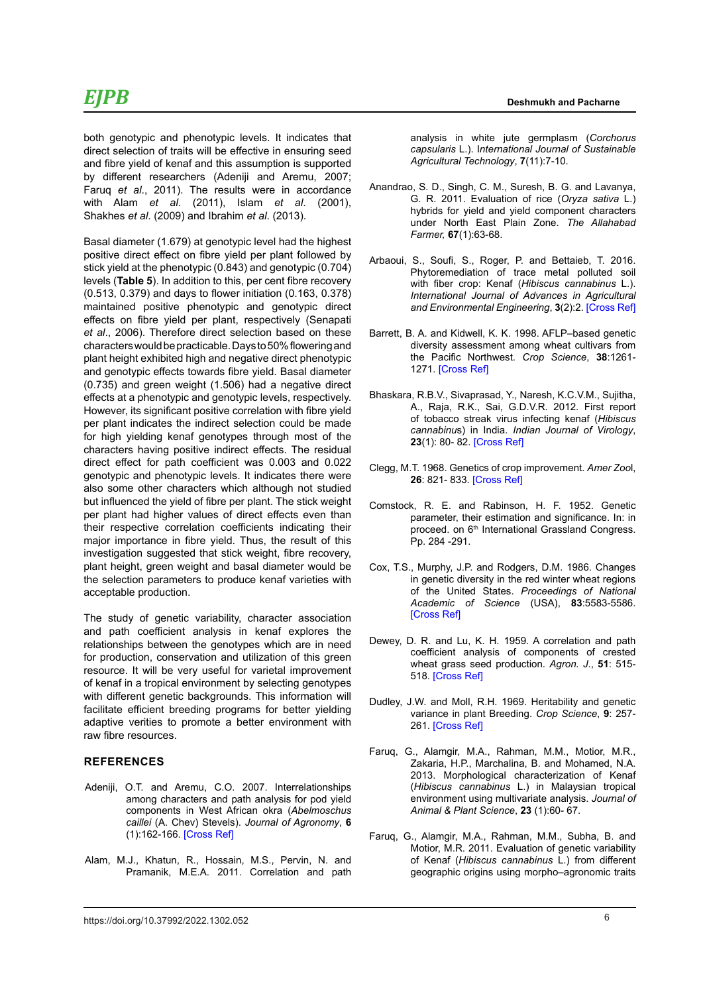both genotypic and phenotypic levels. It indicates that direct selection of traits will be effective in ensuring seed and fibre yield of kenaf and this assumption is supported by different researchers (Adeniji and Aremu, 2007; Faruq *et al*., 2011). The results were in accordance with Alam *et al*. (2011), Islam *et al*. (2001), Shakhes *et al*. (2009) and Ibrahim *et al*. (2013).

Basal diameter (1.679) at genotypic level had the highest positive direct effect on fibre yield per plant followed by stick yield at the phenotypic (0.843) and genotypic (0.704) levels (**Table 5**). In addition to this, per cent fibre recovery (0.513, 0.379) and days to flower initiation (0.163, 0.378) maintained positive phenotypic and genotypic direct effects on fibre yield per plant, respectively (Senapati *et al*., 2006). Therefore direct selection based on these characters would be practicable. Days to 50% flowering and plant height exhibited high and negative direct phenotypic and genotypic effects towards fibre yield. Basal diameter (0.735) and green weight (1.506) had a negative direct effects at a phenotypic and genotypic levels, respectively. However, its significant positive correlation with fibre yield per plant indicates the indirect selection could be made for high yielding kenaf genotypes through most of the characters having positive indirect effects. The residual direct effect for path coefficient was 0.003 and 0.022 genotypic and phenotypic levels. It indicates there were also some other characters which although not studied but influenced the yield of fibre per plant. The stick weight per plant had higher values of direct effects even than their respective correlation coefficients indicating their major importance in fibre yield. Thus, the result of this investigation suggested that stick weight, fibre recovery, plant height, green weight and basal diameter would be the selection parameters to produce kenaf varieties with acceptable production.

The study of genetic variability, character association and path coefficient analysis in kenaf explores the relationships between the genotypes which are in need for production, conservation and utilization of this green resource. It will be very useful for varietal improvement of kenaf in a tropical environment by selecting genotypes with different genetic backgrounds. This information will facilitate efficient breeding programs for better yielding adaptive verities to promote a better environment with raw fibre resources.

### **REFERENCES**

- Adeniji, O.T. and Aremu, C.O. 2007. Interrelationships among characters and path analysis for pod yield components in West African okra (*Abelmoschus caillei* (A. Chev) Stevels). *Journal of Agronomy*, **6** (1):162-166. [\[Cross Ref\]](https://doi.org/10.3923/ja.2007.162.166)
- Alam, M.J., Khatun, R., Hossain, M.S., Pervin, N. and Pramanik, M.E.A. 2011. Correlation and path

analysis in white jute germplasm (*Corchorus capsularis* L.). I*nternational Journal of Sustainable Agricultural Technology*, **7**(11):7-10.

- Anandrao, S. D., Singh, C. M., Suresh, B. G. and Lavanya, G. R. 2011. Evaluation of rice (*Oryza sativa* L.) hybrids for yield and yield component characters under North East Plain Zone. *The Allahabad Farmer,* **67**(1):63-68.
- Arbaoui, S., Soufi, S., Roger, P. and Bettaieb, T. 2016. Phytoremediation of trace metal polluted soil with fiber crop: Kenaf (*Hibiscus cannabinus* L.). *International Journal of Advances in Agricultural and Environmental Engineering*, **3**(2):2. [\[Cross Ref\]](%20https://doi.org/10.15242/IJAAEE.U0916207)
- Barrett, B. A. and Kidwell, K. K. 1998. AFLP–based genetic diversity assessment among wheat cultivars from the Pacific Northwest. *Crop Science*, **38**:1261- 1271. [\[Cross Ref\]](https://doi.org/10.2135/cropsci1998.0011183X003800050026x)
- Bhaskara, R.B.V., Sivaprasad, Y., Naresh, K.C.V.M., Sujitha, A., Raja, R.K., Sai, G.D.V.R. 2012. First report of tobacco streak virus infecting kenaf (*Hibiscus cannabinu*s) in India. *Indian Journal of Virology*, **23**(1): 80- 82. [\[Cross Ref\]](https://doi.org/10.1007/s13337-012-0061-8)
- Clegg, M.T. 1968. Genetics of crop improvement. *Amer Zoo*l, **26**: 821- 833. [\[Cross Ref\]](https://doi.org/10.1093/icb/26.3.821)
- Comstock, R. E. and Rabinson, H. F. 1952. Genetic parameter, their estimation and significance. In: in proceed. on 6<sup>th</sup> International Grassland Congress. Pp. 284 -291.
- Cox, T.S., Murphy, J.P. and Rodgers, D.M. 1986. Changes in genetic diversity in the red winter wheat regions of the United States. *Proceedings of National Academic of Science* (USA), **83**:5583-5586. [\[Cross Ref\]](https://doi.org/10.1073/pnas.83.15.5583)
- Dewey, D. R. and Lu, K. H. 1959. A correlation and path coefficient analysis of components of crested wheat grass seed production. *Agron. J*., **51**: 515- 518. [\[Cross Ref\]](https://doi.org/10.2134/agronj1959.00021962005100090002x)
- Dudley, J.W. and Moll, R.H. 1969. Heritability and genetic variance in plant Breeding. *Crop Science*, **9**: 257- 261. [\[Cross Ref\]](https://doi.org/10.2135/cropsci1969.0011183X000900030001x)
- Faruq, G., Alamgir, M.A., Rahman, M.M., Motior, M.R., Zakaria, H.P., Marchalina, B. and Mohamed, N.A. 2013. Morphological characterization of Kenaf (*Hibiscus cannabinus* L.) in Malaysian tropical environment using multivariate analysis. *Journal of Animal & Plant Science*, **23** (1):60- 67.
- Faruq, G., Alamgir, M.A., Rahman, M.M., Subha, B. and Motior, M.R. 2011. Evaluation of genetic variability of Kenaf (*Hibiscus cannabinus* L.) from different geographic origins using morpho–agronomic traits